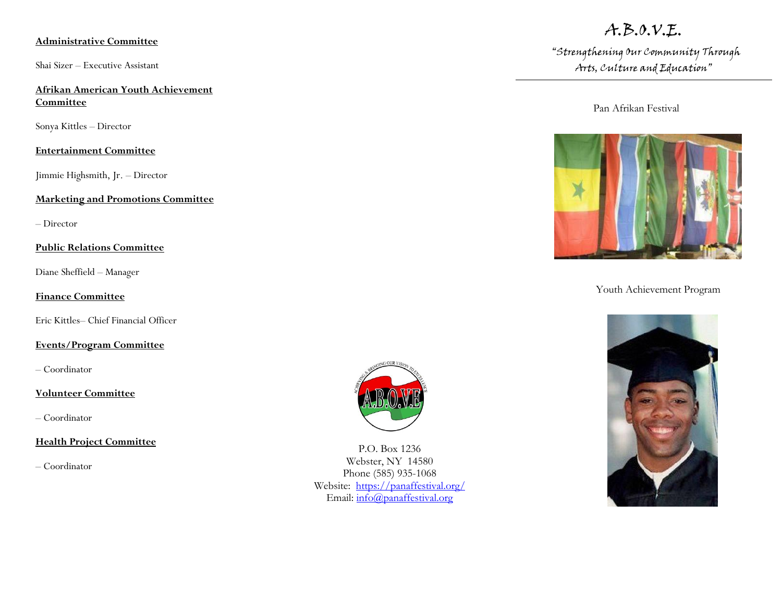### **Administrative Committee**

Shai Sizer – Executive Assistant

### **Afrikan American Youth Achievement Committee**

Sonya Kittles – Director

### **Entertainment Committee**

Jimmie Highsmith, Jr. – Director

#### **Marketing and Promotions Committee**

– Director

### **Public Relations Committee**

Diane Sheffield – Manager

### **Finance Committee**

Eric Kittles– Chief Financial Officer

### **Events/Program Committee**

– Coordinator

### **Volunteer Committee**

– Coordinator

### **Health Project Committee**

– Coordinator



P.O. Box 1236 Webster, NY 14580 Phone (585) 935-1068 Website: <https://panaffestival.org/> Email: [info@panaffestival.org](mailto:info@panaffestival.org)

# A.B.O.V.E.

"Strengthening Our Community Through Arts, Culture and Education"

Pan Afrikan Festival



Youth Achievement Program